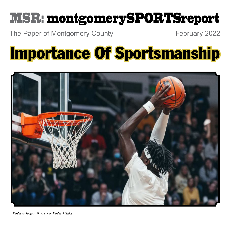## MSR: montgomerySPORTSreport

The Paper of Montgomery County February 2022

# Importance Of Sportsmanship

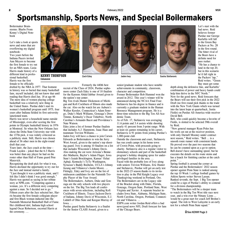### Sportsmanship, Sports News, and Special Boilermakers

Boilermaker Brainstorms: Blurbs From Kenny's Digital Notebook

Let's take a look at sports news and notes that are overflowing my digital notebook:

Two years before the Indiana Pacers invited Ann Meyers to become the first female to try out for an NBA team, Lusia Harris made history of a different kind in professional basketball. Harris was the first female to be officially

drafted by the NBA in 1977. That footnote in history was so buried that many basketball fans, myself included, did not know that until reading that Harris died Jan. 18 at age 66 The mere idea of women playing college basketball was a relatively new thing in the United States. Purdue didn't start its women's basketball program until 1975, four years after Indiana fielded its first university sanctioned team.

Harris was never a household name outside of Mississippi, even after scoring the first points in Olympic basketball history in 1976 at Montreal. So when the New Orleans Jazz chose the Delta State University star with the 137th pick, it was widely criticized as a publicity stunt. Still, Harris was chosen ahead of 36 other men in the eight-round draft that year.

Years later, the Jazz coach at the time – Frank Layden – joked that the 6-3 Harris was better than any player he had on the roster other than Hall of Fame guard Pete Maravich.

Recognizing the draft pick for what it was, Harris declined the opportunity to try out for the Jazz and instead started a family. "I just thought it was a publicity stunt, and I felt like I didn't think I was good enough," Harris was quoted as saying in her tribute story at NPR.com. "Competing against a woman, yes. It's a different story competing against a man. So I decided not to go." Fifteen years after the Jazz selected her, Harris became the first female collegiate player and first Black woman inducted into the Naismith Memorial Basketball Hall of Fame. Her childhood idol, Indiana high school legend Oscar Robertson, escorted Harris at the ceremony. …





Formerly the 440th best

recruit of the Class of 2024, Purdue sopho-

Big Ten rivals Hunter Dickenson of Michigan and Kofi Cockburn of Illinois also made the cut. Also on the watch list are Auburn's Walker Kessler, Connecticut's Adam Sonogo, Duke's Mark Williams, Gonzaga's Drew Timme, Kentucky's Oscar Tshiebwe, North Carolina's Armando Bacot and Providence's

Edey joins a list of former Purdue finalists that includes A.J. Hammons, Isaac Haas and

Jaden Ivey will have a chance to join Carsen Edwards as Boilermakers to win the Jerry West Award, given to the nation's top shooting guard. Ivey is among 10 finalists on a list that includes Wisconsin's Johnny Davis. Also making the cut were Arizona's Bennedict Mathurin, Baylor's Adam Flager, Iowa State's Izaiah Brockington, Kansas' Ochai Agbaji, Kentucky's TyTy Washington, Syracuse's Buddy Boeheim, UCLA's Johnny Juzang and Villanova's Justin Moore. … Fittingly, Edey and Ivey are on the list of midseason candidates for the Naismith Tro-

teammate Trevion Williams. …

phy Player of the Year Award.

Iowa. …

The Boilermakers, Auburn, Duke and Gonzaga are the only schools with two players on the list. The Big Ten leads all conferences with seven selections, including Kofi Cockburn of Illinois, Trayce Jackson-Davis of Indiana, Johnny Davis of Wisconsin, E.J. Liddell of Ohio State and Keegan Murray of

Purdue guard Sasha Stefanovic is a finalist for the Senior CLASS Award, given to a

the nation's top center.

Nate Watson.

more center Zach Edey is one of 10 finalists for the Kareem Abdul-Jabbar Award given to senior/graduate student who have notable achievements in community, classroom, character and competition.

Former Boilermaker Rob Hummel won the award in 2012. This year's winner will be announced during the NCAA Final Four. Stefanovic has his degree in finance and is currently a graduate student in the Human Resource Management program. He is a three-time selection to the Big Ten All-Academic Team.

As of Feb. 17, Stefanovic was averaging 11.6 points and 3.4 assists while shooting nearly 41 percent from 3-point range. With at least six games remaining in his career, Stefanovic is 91 points from joining Purdue's 1,000-point club

Outside the classroom and court, Stefanovic has run youth camps in his home town of Crown Point, with proceeds going to charity. Stefanovic also is a regular visitor to elementary schools and part of the basketball program's holiday shopping spree for underprivileged families in the area. …

Faced with the probable loss of Ivey along with seniors Trevion Williams, Eric Hunter and Stefanovic, Purdue will get an early test in the 2022-23 season thanks to its invitation to play in the Phil Knight Legacy over Thanksgiving weekend in Portland, Ore. The Boilermakers are in the Legacy side of the Bracket along with Duke, Florida, Gonzaga, Oregon State, Portland State, West Virginia and Xavier. A separate bracket includes Iowa State, Alabama, Michigan State, North Carolina, Oregon, Portland, Connecticut and Villanova. …

ESPN.com writer Jordan Reid offers a bad news/good news NFL Draft forecast for fans of the Chicago Bears.



believes former Purdue star George Karlaftis will fall to the Green Bay Packers at No. 28 in the first round. The bitter rival of the Bears have a definite need for pass rusher. "He has a chance to land in the top 20, but in this scenario he'd fall right in the Packers' lap," Reid writes. "Green Bay must get some

Let's start with the bad news. Reid

depth along the defensive line, and Karlaftis' combination of power and heavy hands could help him thrive in the NFC North."

Now for the good news. Reid forecasts that the Bears will use their first pick in the 2022 Draft (no first round pick thanks to the trade with the New York Giants which was turned into the latest hope at quarterback, Justin Fields) on Purdue All-America wide receiver David Bell.

Bell, who could quickly become a favorite of Fields, is slotted to be selected 39th overall by Reid.

"New general manager Ryan Poles has his work cut out at the receiver position, with only Darnell Mooney under contract next season," Reid writes. "Bell … is a smooth route runner with consistent hands. He proved over the past two seasons that he can be counted upon as a go-to option. Bell doesn't have outstanding speed, but he executes the details on his route stems and has a knack for finishing catches at the catch point." …

Spring football is around the corner at Purdue and the Boilermakers' 2022 season opener against Penn State is ranked among the top 10 Week 1 college football games by Athlon Sports writer Steven Lassan. Ranked seventh, the Sept. 1 Big Ten opener could be a sign of Purdue's ability to contend for a division championship.

"The Boilermakers will be a sleeper team to watch in the Big Ten West title race next year, and a win over the Nittany Lions … would be a great start for coach Jeff Brohm's squad. The trek to West Lafayette is an early test for a rebuilt Penn State squad."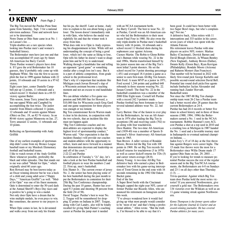#### Þ KENNY *From Page 2*

The Big Ten moved the Purdue-Penn State game from Saturday, Sept. 3 for a national television audience. Time and network have yet to be determined.

Notre Dame at Ohio State came in at No. 1 on Lassan's list. …

Triple-doubles are a rare species when looking into Purdue men's and women's basketball history.

The Boilermaker men have just one and that was accomplished 45 years ago by future All-American Joe Barry Carroll. Three Purdue women's players have done it. If I gave the avid Boilermaker fan 10 guesses, they'd probably only come up with Stephanie White. She was the first to accomplish the feat in 1999 against Indiana with 22 points, 10 rebounds and 10 assists in a 97-62 victory.

Eight years later, center Danielle Campbell put up 12 points, 11 rebounds and a school-record 11 blocked shots in a 69-53 victory against Butler.

This season, Jenae Terry joined the club but one-upped White and Campbell by accomplishing the feat twice. The junior transfer from Illinois collected 11 points, 12 rebounds and 10 assists against Miami (Ohio) on Dec. 19, an 82-76 victory. In an 80-66 victory against Minnesota on Jan. 27, Terry amassed 12 assists, 11 rebounds and 10 points.

Reflecting on Sportsmanship with Andy Griffith

One of my earliest examples of sportsmanship didn't come from my Bronco League baseball team or my Murdock Elementary football and basketball teams. I like to watch reruns of the Andy Griffith Show whenever possible, preferably the black and white episodes. One that stands out to me was called "Medal for Opie," which originally aired 60 years ago. Ron Howard may be best known today as an Oscar-winning director but he was a heck of a child and young adult actor ("Happy Days," "American Graffiti") as well. "Medal for Opie" was one of his finest moments. Opie is determined to enter the 50-yard dash at the Annual Sheriff's Boys Day races and is positive he's going to win a medal. Not only does Opie have a dream that he wins multiple medals, he even prays to win. But sometimes, the answer to our prayers is no.

When Opie comes in last, he is devastated and walks away from not only his friends

but his pa, the sheriff. Later at home, Andy tries to explain to his son about being a good loser. The lesson doesn't immediately sink in with Opie, who believes the medal was rightfully his and that the winner took it away from him.

What does sink in to Opie is Andy expressing his disappointment in him. While still not understanding the concept of being a good loser, which isn't the same as liking to lose, Opie tells his father he doesn't want to disappoint him and he'll try to understand. Walking through a handshake line and telling an opponent "good game" or something similar after a tough loss isn't easy. But it is a part of athletic competition, from grade school to the professional level. That's why it's important that incidents like Michigan coach Juwan Howard's slap of a Wisconsin assistant become a teaching moment and not an excuse to end handshake lines.

We can debate whether a five-game suspension and \$40,000 fine for Howard, a \$10,000 fine for Wisconsin coach Greg Gard and one-game suspensions for three players was enough or too lenient.

Big Ten commissioner Kevin Warren made it clear in his decision, in conjunction with the two schools, that an incident like this must not happen again

"Big Ten Conference coaches and student-athletes are expected to display the highest level of sportsmanship conduct," Warren said. "Our expectation is that the incident (Sunday) will provide our coaches and student-athletes with the opportunity to reflect, learn and move forward in a manner that demonstrates decorum and leadership on and off of the court."

2-22-22 and Purdue

In celebration of Tuesday's "2s" day, let's take a look at the best Purdue basketball and football players to wear the numbers 2 and 22. First up, men's basketball.

Eric Hunter Jr.: The current owner of jersey No. 2, the senior has been playing some of his best basketball during the past month to put the Boilermakers in contention for their 25th Big Ten Conference championship. During the past 10 games, Hunter has averaged 9.3 points and shooting 58 percent from the field (34 of 58).

David Teague: Purdue's best to wear No. 2, Teague will be remembered for dropping 32 points on Indiana in 2007. Teague, along with Carl Landry, also will be fondly recalled for giving Matt Painter's coaching career at Purdue the jump start it needed

with an NCAA tournament berth.

Joe Barry Carroll: The best to wear No. 22 at Purdue, Carroll was an All-American center who led the Boilermakers to their most recent Final Four in 1980. He also owns the only triple-double in Purdue men's basketball history with 16 points, 16 rebounds and a school record 11 blocked shots during his sophomore year against Arizona. Cuonzo Martin: The Robin to Glenn Robinson's Batman while wearing No. 22 in the mid 1990s, Martin transformed himself by his junior season into one of the Big Ten's most lethal 3-point shooters. He set the school record for 3-point shooting percentage (.451) and averaged 18.4 points a game as a senior to earn first-team All-Big Ten honors. Bob Ford: A team MVP as a junior in 1971, Ford scored 1,244 points and grabbed 648 rebounds in three seasons wearing No. 22. Jaraan Cornell: The final No. 22 in the basketball countdown was a member of the 2000 Elite Eight team. Cornell left Purdue with a record 242 3-pointers made. Purdue football has been fortunate to have several talented athletes wear No. 22, led by:

Larry Burton: One of the fastest to ever play for the Boilermakers, he was an All-American in 1974 after leading the Big Ten in receptions (38) and receiving yards (702) to go along with four touchdowns.

Dave Rankin: The two-time All-American end (1939-40) was a member of Sports Illustrated's Silver Anniversary All-American team in 1965.

Stan Brown: A taller version of Rondale Moore, Brown led the Big Ten with 108 points in 1969. He set Big Ten records for kickoff returns for touchdowns (3 in 1970) as well as career kickoff returns for TDs (5) and career return average (28.8). Jimmy Young: A two-time All-Big Ten defensive back who earned a place in Boilermaker lore with his game-saving interception of Trent Green in the end zone with 16 seconds remaining in the 1992 Old Oaken Bucket game.

End of the line

A Super Bowl berth with the Cincinnati Bengals capped the eight-year NFL career of former Purdue star Ricardo Allen, who announced his retirement on Instagram earlier this week.

"I've always wondered how it would feel giving up what most people would consider to be 'most of me' and that's being a professional athlete," Allen wrote. "But the truth is, I'm blessed to be able to say that it's

been good. It could have been better with two Super Bowl rings, but who's complaining? Not me."

A defensive back, Allen retires with 11 interceptions and 333 tackles in his career, seven years of which was spent with the Atlanta Falcons.

His retirement leaves Purdue with nine players on active NFL rosters: Markus Bailey (Cincinnati), Derrick Barnes and David Blough (Detroit), Ja'Whaun Bentley (New England), Anthony Brown (Dallas), Dennis Kelly (Green Bay), Ryan Kerrigan (Philadelphia), Rondale Moore (Arizona) and Raheem Mostert (San Francisco). That number will be boosted in 2022 with likely first-round pick George Karlaftis and possible second-round selection David Bell. Potential late round draft picks/free agents include linebacker Jaylan Alexander and running back Zander Horvath. Basketball notes

Not since the 1987-88 Big Ten championship team went 26-2 has a Purdue team had a better record after 28 games than the current Boilermakers at 24-4.

Purdue has had 24-4 records or better five times in school history and in three of those seasons (1988, 1994, 1996) the Boilermakers earned a No. 1 seed in the NCAA tournament. Robbie Hummel's torn ACL cost Purdue a shot at a top seed in 2010 and a crushing loss at Michigan in 1987 handed the No. 1 seed and a favorable tourney start in Indianapolis to eventual national champion Indiana. …

Jaden Ivey's 15 of 18 day at the free throw line against Rutgers were career highs. The 15 made free throws were the most for a Boilermaker since Willie Deane made 17 against Ohio State on Jan. 29, 2003. … If you're looking for trends to measure potential Purdue success the rest of the regular season and in the Big Ten/NCAA tournaments, the Boilermakers are 6-0 on Sundays and 23-1 on all days other than Thursday  $(1-3)$ . ...

Trivia question: Against which Big Ten team does Purdue hold the most series victories? If you answered Northwestern, give yourself a gold star. The Boilermakers own 134 victories over the Wildcats as well as an 11-game winning streak against Northwestern.

*Kenny Thompson is the former sports editor for the Lafayette Journal & Courier and an award-winning journalist. He has covered Purdue athletics for many years.*